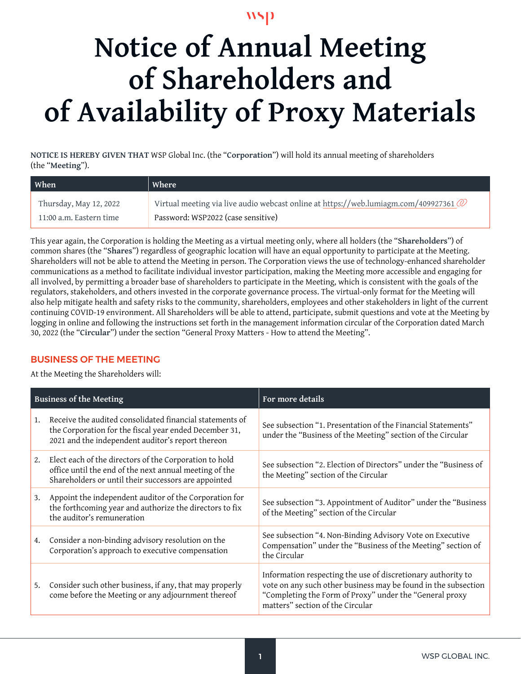$\mathbf{NSD}$ 

# **Notice of Annual Meeting of Shareholders and of Availability of Proxy Materials**

**NOTICE IS HEREBY GIVEN THAT** WSP Global Inc. (the "**Corporation**") will hold its annual meeting of shareholders (the "**Meeting**").

| <b>When</b>             | Where                                                                                             |
|-------------------------|---------------------------------------------------------------------------------------------------|
| Thursday, May 12, 2022  | Virtual meeting via live audio webcast online at https://web.lumiagm.com/409927361 $\circledcirc$ |
| 11:00 a.m. Eastern time | Password: WSP2022 (case sensitive)                                                                |

This year again, the Corporation is holding the Meeting as a virtual meeting only, where all holders (the "**Shareholders**") of common shares (the "**Shares**") regardless of geographic location will have an equal opportunity to participate at the Meeting. Shareholders will not be able to attend the Meeting in person. The Corporation views the use of technology-enhanced shareholder communications as a method to facilitate individual investor participation, making the Meeting more accessible and engaging for all involved, by permitting a broader base of shareholders to participate in the Meeting, which is consistent with the goals of the regulators, stakeholders, and others invested in the corporate governance process. The virtual-only format for the Meeting will also help mitigate health and safety risks to the community, shareholders, employees and other stakeholders in light of the current continuing COVID-19 environment. All Shareholders will be able to attend, participate, submit questions and vote at the Meeting by logging in online and following the instructions set forth in the management information circular of the Corporation dated March 30, 2022 (the "**Circular**") under the section "General Proxy Matters - How to attend the Meeting".

# BUSINESS OF THE MEETING

At the Meeting the Shareholders will:

| <b>Business of the Meeting</b> |                                                                                                                                                                          | For more details                                                                                                                                                                                                              |
|--------------------------------|--------------------------------------------------------------------------------------------------------------------------------------------------------------------------|-------------------------------------------------------------------------------------------------------------------------------------------------------------------------------------------------------------------------------|
| 1.                             | Receive the audited consolidated financial statements of<br>the Corporation for the fiscal year ended December 31,<br>2021 and the independent auditor's report thereon  | See subsection "1. Presentation of the Financial Statements"<br>under the "Business of the Meeting" section of the Circular                                                                                                   |
| 2.                             | Elect each of the directors of the Corporation to hold<br>office until the end of the next annual meeting of the<br>Shareholders or until their successors are appointed | See subsection "2. Election of Directors" under the "Business of<br>the Meeting" section of the Circular                                                                                                                      |
| 3.                             | Appoint the independent auditor of the Corporation for<br>the forthcoming year and authorize the directors to fix<br>the auditor's remuneration                          | See subsection "3. Appointment of Auditor" under the "Business<br>of the Meeting" section of the Circular                                                                                                                     |
| 4.                             | Consider a non-binding advisory resolution on the<br>Corporation's approach to executive compensation                                                                    | See subsection "4. Non-Binding Advisory Vote on Executive<br>Compensation" under the "Business of the Meeting" section of<br>the Circular                                                                                     |
| 5.                             | Consider such other business, if any, that may properly<br>come before the Meeting or any adjournment thereof                                                            | Information respecting the use of discretionary authority to<br>vote on any such other business may be found in the subsection<br>"Completing the Form of Proxy" under the "General proxy<br>matters" section of the Circular |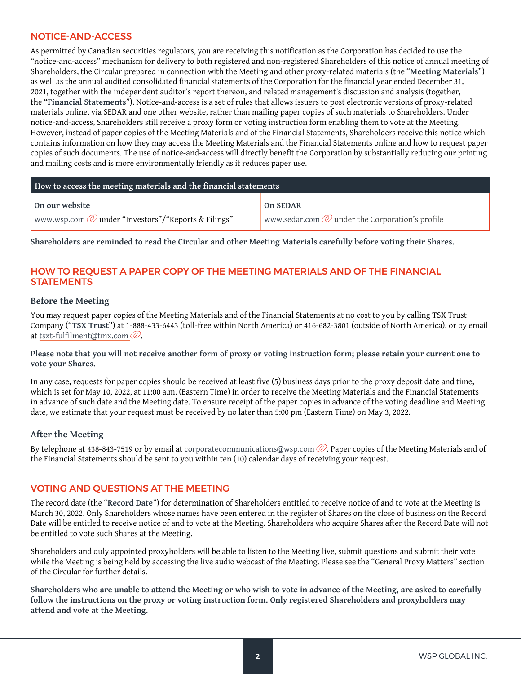## NOTICE-AND-ACCESS

As permitted by Canadian securities regulators, you are receiving this notification as the Corporation has decided to use the "notice-and-access" mechanism for delivery to both registered and non-registered Shareholders of this notice of annual meeting of Shareholders, the Circular prepared in connection with the Meeting and other proxy-related materials (the "**Meeting Materials**") as well as the annual audited consolidated financial statements of the Corporation for the financial year ended December 31, 2021, together with the independent auditor's report thereon, and related management's discussion and analysis (together, the "**Financial Statements**"). Notice-and-access is a set of rules that allows issuers to post electronic versions of proxy-related materials online, via SEDAR and one other website, rather than mailing paper copies of such materials to Shareholders. Under notice-and-access, Shareholders still receive a proxy form or voting instruction form enabling them to vote at the Meeting. However, instead of paper copies of the Meeting Materials and of the Financial Statements, Shareholders receive this notice which contains information on how they may access the Meeting Materials and the Financial Statements online and how to request paper copies of such documents. The use of notice-and-access will directly benefit the Corporation by substantially reducing our printing and mailing costs and is more environmentally friendly as it reduces paper use.

| How to access the meeting materials and the financial statements |                                                            |  |  |  |
|------------------------------------------------------------------|------------------------------------------------------------|--|--|--|
| On our website                                                   | On SEDAR                                                   |  |  |  |
| www.wsp.com $\mathcal{O}$ under "Investors"/"Reports & Filings"  | www.sedar.com $\mathcal Q$ under the Corporation's profile |  |  |  |

**Shareholders are reminded to read the Circular and other Meeting Materials carefully before voting their Shares.**

# HOW TO REQUEST A PAPER COPY OF THE MEETING MATERIALS AND OF THE FINANCIAL **STATEMENTS**

#### **Before the Meeting**

You may request paper copies of the Meeting Materials and of the Financial Statements at no cost to you by calling TSX Trust Company ("**TSX Trust**") at 1-888-433-6443 (toll-free within North America) or 416-682-3801 (outside of North America), or by email at [tsxt-fulfilment@tmx.com](mailto:tsxt-fulfilment@tmx.com) $\mathcal Q$ .

**Please note that you will not receive another form of proxy or voting instruction form; please retain your current one to vote your Shares.** 

In any case, requests for paper copies should be received at least five (5) business days prior to the proxy deposit date and time, which is set for May 10, 2022, at 11:00 a.m. (Eastern Time) in order to receive the Meeting Materials and the Financial Statements in advance of such date and the Meeting date. To ensure receipt of the paper copies in advance of the voting deadline and Meeting date, we estimate that your request must be received by no later than 5:00 pm (Eastern Time) on May 3, 2022.

## **After the Meeting**

By telephone at 438-843-7519 or by email at corporatecommunications[@wsp.com](mailto:isabelle.adjahi@wsp.com)  $\mathbb Q$ . Paper copies of the Meeting Materials and of the Financial Statements should be sent to you within ten (10) calendar days of receiving your request.

## VOTING AND QUESTIONS AT THE MEETING

The record date (the "**Record Date**") for determination of Shareholders entitled to receive notice of and to vote at the Meeting is March 30, 2022. Only Shareholders whose names have been entered in the register of Shares on the close of business on the Record Date will be entitled to receive notice of and to vote at the Meeting. Shareholders who acquire Shares after the Record Date will not be entitled to vote such Shares at the Meeting.

Shareholders and duly appointed proxyholders will be able to listen to the Meeting live, submit questions and submit their vote while the Meeting is being held by accessing the live audio webcast of the Meeting. Please see the "General Proxy Matters" section of the Circular for further details.

**Shareholders who are unable to attend the Meeting or who wish to vote in advance of the Meeting, are asked to carefully follow the instructions on the proxy or voting instruction form. Only registered Shareholders and proxyholders may attend and vote at the Meeting.**